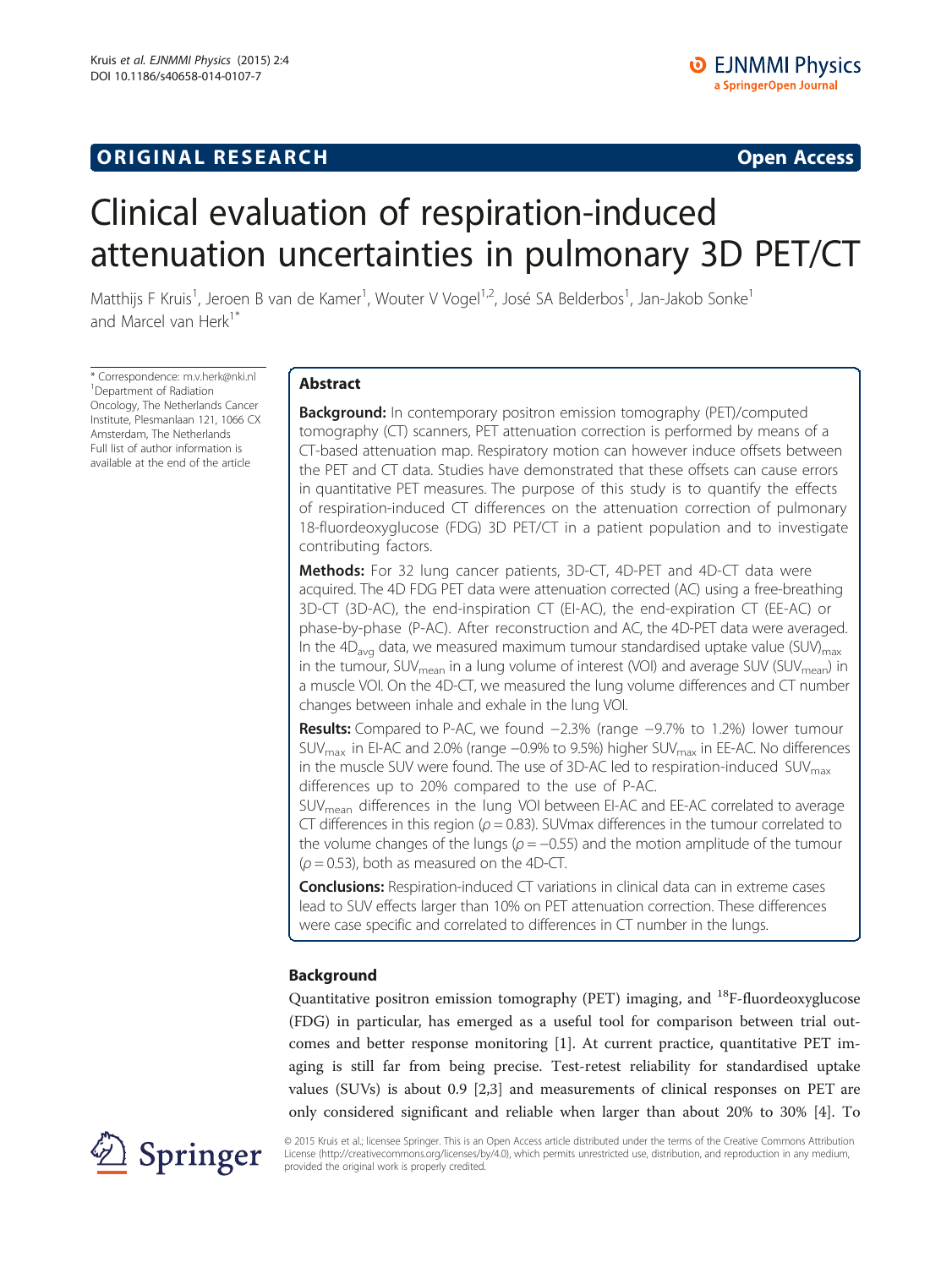# **ORIGINAL RESEARCH CONSUMING ACCESS**

# Clinical evaluation of respiration-induced attenuation uncertainties in pulmonary 3D PET/CT

Matthijs F Kruis<sup>1</sup>, Jeroen B van de Kamer<sup>1</sup>, Wouter V Vogel<sup>1,2</sup>, José SA Belderbos<sup>1</sup>, Jan-Jakob Sonke<sup>1</sup> and Marcel van Herk<sup>1\*</sup>

\* Correspondence: [m.v.herk@nki.nl](mailto:m.v.herk@nki.nl) <sup>1</sup> <sup>1</sup>Department of Radiation Oncology, The Netherlands Cancer Institute, Plesmanlaan 121, 1066 CX Amsterdam, The Netherlands Full list of author information is available at the end of the article

# Abstract

**Background:** In contemporary positron emission tomography (PET)/computed tomography (CT) scanners, PET attenuation correction is performed by means of a CT-based attenuation map. Respiratory motion can however induce offsets between the PET and CT data. Studies have demonstrated that these offsets can cause errors in quantitative PET measures. The purpose of this study is to quantify the effects of respiration-induced CT differences on the attenuation correction of pulmonary 18-fluordeoxyglucose (FDG) 3D PET/CT in a patient population and to investigate contributing factors.

Methods: For 32 lung cancer patients, 3D-CT, 4D-PET and 4D-CT data were acquired. The 4D FDG PET data were attenuation corrected (AC) using a free-breathing 3D-CT (3D-AC), the end-inspiration CT (EI-AC), the end-expiration CT (EE-AC) or phase-by-phase (P-AC). After reconstruction and AC, the 4D-PET data were averaged. In the  $4D_{\text{avg}}$  data, we measured maximum tumour standardised uptake value (SUV)<sub>max</sub> in the tumour, SUV<sub>mean</sub> in a lung volume of interest (VOI) and average SUV (SUV<sub>mean</sub>) in a muscle VOI. On the 4D-CT, we measured the lung volume differences and CT number changes between inhale and exhale in the lung VOI.

Results: Compared to P-AC, we found −2.3% (range −9.7% to 1.2%) lower tumour SUV<sub>max</sub> in EI-AC and 2.0% (range −0.9% to 9.5%) higher SUV<sub>max</sub> in EE-AC. No differences in the muscle SUV were found. The use of 3D-AC led to respiration-induced  $\text{SUV}_{\text{max}}$ differences up to 20% compared to the use of P-AC.

SUVmean differences in the lung VOI between EI-AC and EE-AC correlated to average CT differences in this region ( $\rho = 0.83$ ). SUV max differences in the tumour correlated to the volume changes of the lungs ( $\rho = -0.55$ ) and the motion amplitude of the tumour  $(\rho = 0.53)$ , both as measured on the 4D-CT.

**Conclusions:** Respiration-induced CT variations in clinical data can in extreme cases lead to SUV effects larger than 10% on PET attenuation correction. These differences were case specific and correlated to differences in CT number in the lungs.

# Background

Quantitative positron emission tomography (PET) imaging, and <sup>18</sup>F-fluordeoxyglucose (FDG) in particular, has emerged as a useful tool for comparison between trial outcomes and better response monitoring [\[1\]](#page-11-0). At current practice, quantitative PET imaging is still far from being precise. Test-retest reliability for standardised uptake values (SUVs) is about 0.9 [[2](#page-11-0),[3\]](#page-11-0) and measurements of clinical responses on PET are only considered significant and reliable when larger than about 20% to 30% [\[4](#page-11-0)]. To



© 2015 Kruis et al.; licensee Springer. This is an Open Access article distributed under the terms of the Creative Commons Attribution License [\(http://creativecommons.org/licenses/by/4.0\)](http://creativecommons.org/licenses/by/4.0), which permits unrestricted use, distribution, and reproduction in any medium, provided the original work is properly credited.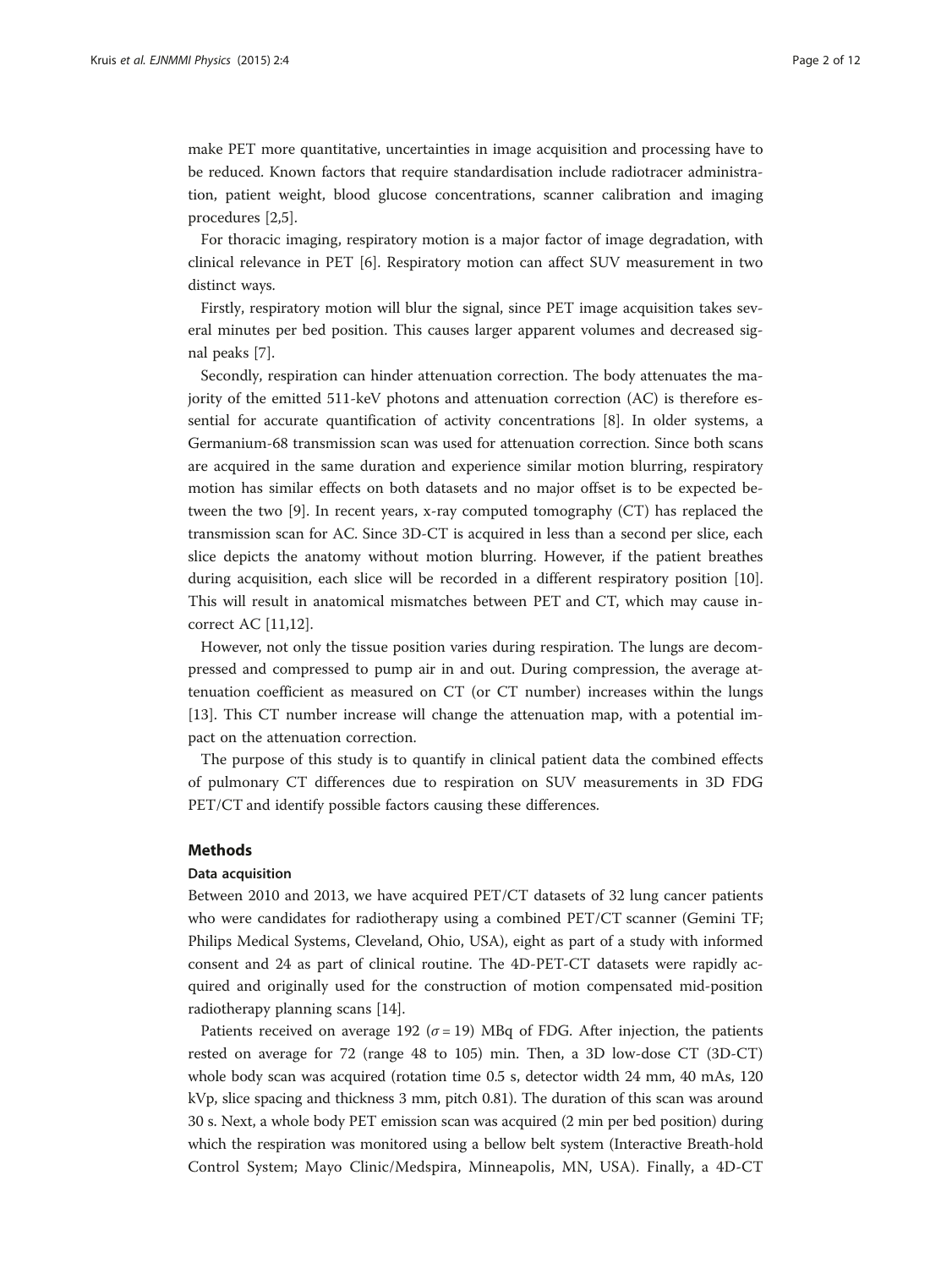make PET more quantitative, uncertainties in image acquisition and processing have to be reduced. Known factors that require standardisation include radiotracer administration, patient weight, blood glucose concentrations, scanner calibration and imaging procedures [[2,5\]](#page-11-0).

For thoracic imaging, respiratory motion is a major factor of image degradation, with clinical relevance in PET [\[6](#page-11-0)]. Respiratory motion can affect SUV measurement in two distinct ways.

Firstly, respiratory motion will blur the signal, since PET image acquisition takes several minutes per bed position. This causes larger apparent volumes and decreased signal peaks [[7\]](#page-11-0).

Secondly, respiration can hinder attenuation correction. The body attenuates the majority of the emitted 511-keV photons and attenuation correction (AC) is therefore essential for accurate quantification of activity concentrations [\[8](#page-11-0)]. In older systems, a Germanium-68 transmission scan was used for attenuation correction. Since both scans are acquired in the same duration and experience similar motion blurring, respiratory motion has similar effects on both datasets and no major offset is to be expected between the two [[9](#page-11-0)]. In recent years, x-ray computed tomography (CT) has replaced the transmission scan for AC. Since 3D-CT is acquired in less than a second per slice, each slice depicts the anatomy without motion blurring. However, if the patient breathes during acquisition, each slice will be recorded in a different respiratory position [[10](#page-11-0)]. This will result in anatomical mismatches between PET and CT, which may cause incorrect AC [\[11,12\]](#page-11-0).

However, not only the tissue position varies during respiration. The lungs are decompressed and compressed to pump air in and out. During compression, the average attenuation coefficient as measured on CT (or CT number) increases within the lungs [[13\]](#page-11-0). This CT number increase will change the attenuation map, with a potential impact on the attenuation correction.

The purpose of this study is to quantify in clinical patient data the combined effects of pulmonary CT differences due to respiration on SUV measurements in 3D FDG PET/CT and identify possible factors causing these differences.

#### Methods

#### Data acquisition

Between 2010 and 2013, we have acquired PET/CT datasets of 32 lung cancer patients who were candidates for radiotherapy using a combined PET/CT scanner (Gemini TF; Philips Medical Systems, Cleveland, Ohio, USA), eight as part of a study with informed consent and 24 as part of clinical routine. The 4D-PET-CT datasets were rapidly acquired and originally used for the construction of motion compensated mid-position radiotherapy planning scans [[14](#page-11-0)].

Patients received on average 192 ( $\sigma$  = 19) MBq of FDG. After injection, the patients rested on average for 72 (range 48 to 105) min. Then, a 3D low-dose CT (3D-CT) whole body scan was acquired (rotation time 0.5 s, detector width 24 mm, 40 mAs, 120 kVp, slice spacing and thickness 3 mm, pitch 0.81). The duration of this scan was around 30 s. Next, a whole body PET emission scan was acquired (2 min per bed position) during which the respiration was monitored using a bellow belt system (Interactive Breath-hold Control System; Mayo Clinic/Medspira, Minneapolis, MN, USA). Finally, a 4D-CT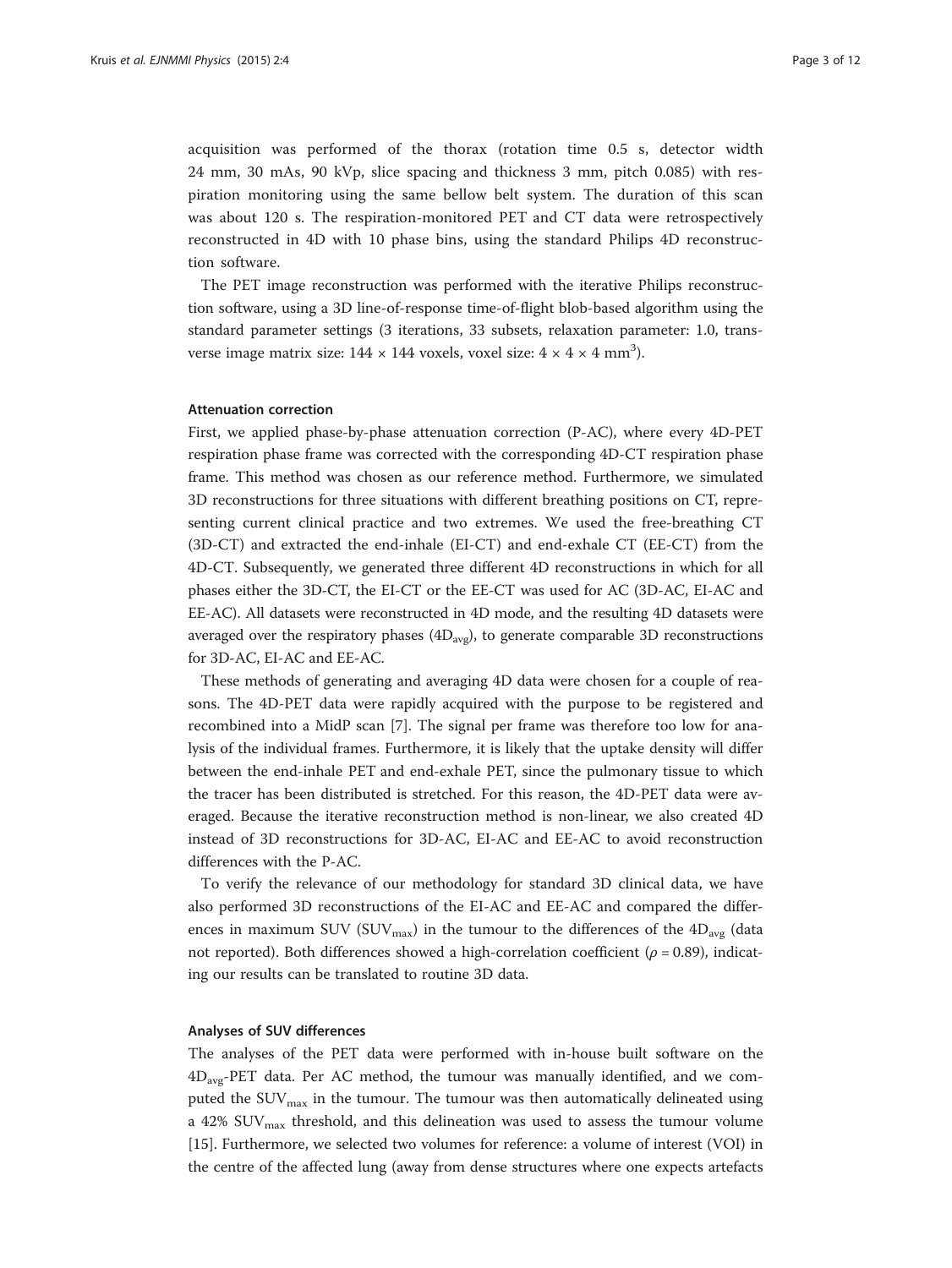acquisition was performed of the thorax (rotation time 0.5 s, detector width 24 mm, 30 mAs, 90 kVp, slice spacing and thickness 3 mm, pitch 0.085) with respiration monitoring using the same bellow belt system. The duration of this scan was about 120 s. The respiration-monitored PET and CT data were retrospectively reconstructed in 4D with 10 phase bins, using the standard Philips 4D reconstruction software.

The PET image reconstruction was performed with the iterative Philips reconstruction software, using a 3D line-of-response time-of-flight blob-based algorithm using the standard parameter settings (3 iterations, 33 subsets, relaxation parameter: 1.0, transverse image matrix size: 144 × 144 voxels, voxel size: 4 × 4 × 4 mm<sup>3</sup>).

#### Attenuation correction

First, we applied phase-by-phase attenuation correction (P-AC), where every 4D-PET respiration phase frame was corrected with the corresponding 4D-CT respiration phase frame. This method was chosen as our reference method. Furthermore, we simulated 3D reconstructions for three situations with different breathing positions on CT, representing current clinical practice and two extremes. We used the free-breathing CT (3D-CT) and extracted the end-inhale (EI-CT) and end-exhale CT (EE-CT) from the 4D-CT. Subsequently, we generated three different 4D reconstructions in which for all phases either the 3D-CT, the EI-CT or the EE-CT was used for AC (3D-AC, EI-AC and EE-AC). All datasets were reconstructed in 4D mode, and the resulting 4D datasets were averaged over the respiratory phases  $(4D_{avg})$ , to generate comparable 3D reconstructions for 3D-AC, EI-AC and EE-AC.

These methods of generating and averaging 4D data were chosen for a couple of reasons. The 4D-PET data were rapidly acquired with the purpose to be registered and recombined into a MidP scan [\[7](#page-11-0)]. The signal per frame was therefore too low for analysis of the individual frames. Furthermore, it is likely that the uptake density will differ between the end-inhale PET and end-exhale PET, since the pulmonary tissue to which the tracer has been distributed is stretched. For this reason, the 4D-PET data were averaged. Because the iterative reconstruction method is non-linear, we also created 4D instead of 3D reconstructions for 3D-AC, EI-AC and EE-AC to avoid reconstruction differences with the P-AC.

To verify the relevance of our methodology for standard 3D clinical data, we have also performed 3D reconstructions of the EI-AC and EE-AC and compared the differences in maximum SUV (SUV<sub>max</sub>) in the tumour to the differences of the  $4D_{avg}$  (data not reported). Both differences showed a high-correlation coefficient ( $\rho$  = 0.89), indicating our results can be translated to routine 3D data.

#### Analyses of SUV differences

The analyses of the PET data were performed with in-house built software on the 4Davg-PET data. Per AC method, the tumour was manually identified, and we computed the  $\text{SUV}_{\text{max}}$  in the tumour. The tumour was then automatically delineated using a 42%  $\text{SUV}_{\text{max}}$  threshold, and this delineation was used to assess the tumour volume [[15\]](#page-11-0). Furthermore, we selected two volumes for reference: a volume of interest (VOI) in the centre of the affected lung (away from dense structures where one expects artefacts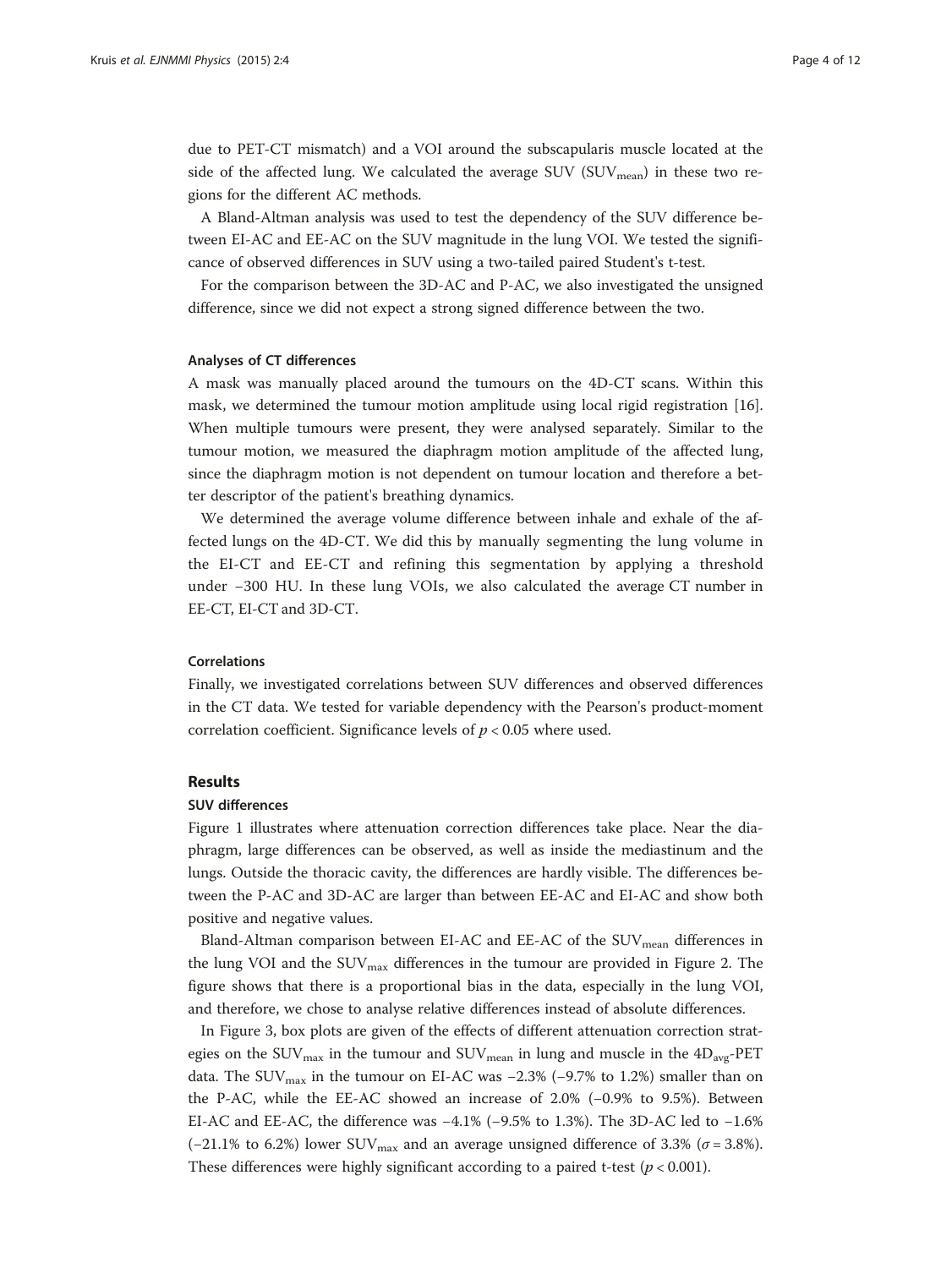due to PET-CT mismatch) and a VOI around the subscapularis muscle located at the side of the affected lung. We calculated the average SUV ( $\text{SUV}_{\text{mean}}$ ) in these two regions for the different AC methods.

A Bland-Altman analysis was used to test the dependency of the SUV difference between EI-AC and EE-AC on the SUV magnitude in the lung VOI. We tested the significance of observed differences in SUV using a two-tailed paired Student's t-test.

For the comparison between the 3D-AC and P-AC, we also investigated the unsigned difference, since we did not expect a strong signed difference between the two.

#### Analyses of CT differences

A mask was manually placed around the tumours on the 4D-CT scans. Within this mask, we determined the tumour motion amplitude using local rigid registration [[16](#page-11-0)]. When multiple tumours were present, they were analysed separately. Similar to the tumour motion, we measured the diaphragm motion amplitude of the affected lung, since the diaphragm motion is not dependent on tumour location and therefore a better descriptor of the patient's breathing dynamics.

We determined the average volume difference between inhale and exhale of the affected lungs on the 4D-CT. We did this by manually segmenting the lung volume in the EI-CT and EE-CT and refining this segmentation by applying a threshold under −300 HU. In these lung VOIs, we also calculated the average CT number in EE-CT, EI-CT and 3D-CT.

#### Correlations

Finally, we investigated correlations between SUV differences and observed differences in the CT data. We tested for variable dependency with the Pearson's product-moment correlation coefficient. Significance levels of  $p < 0.05$  where used.

#### Results

#### SUV differences

Figure [1](#page-4-0) illustrates where attenuation correction differences take place. Near the diaphragm, large differences can be observed, as well as inside the mediastinum and the lungs. Outside the thoracic cavity, the differences are hardly visible. The differences between the P-AC and 3D-AC are larger than between EE-AC and EI-AC and show both positive and negative values.

Bland-Altman comparison between EI-AC and EE-AC of the  $\text{SUV}_{\text{mean}}$  differences in the lung VOI and the  $\text{SUV}_{\text{max}}$  differences in the tumour are provided in Figure [2.](#page-4-0) The figure shows that there is a proportional bias in the data, especially in the lung VOI, and therefore, we chose to analyse relative differences instead of absolute differences.

In Figure [3,](#page-5-0) box plots are given of the effects of different attenuation correction strategies on the SUV<sub>max</sub> in the tumour and  $\text{SUV}_{\text{mean}}$  in lung and muscle in the  $\text{4D}_{\text{avg}}$ -PET data. The SUV<sub>max</sub> in the tumour on EI-AC was -2.3% (-9.7% to 1.2%) smaller than on the P-AC, while the EE-AC showed an increase of 2.0% (−0.9% to 9.5%). Between EI-AC and EE-AC, the difference was −4.1% (−9.5% to 1.3%). The 3D-AC led to −1.6% (−21.1% to 6.2%) lower SUV<sub>max</sub> and an average unsigned difference of 3.3% ( $\sigma$  = 3.8%). These differences were highly significant according to a paired t-test  $(p < 0.001)$ .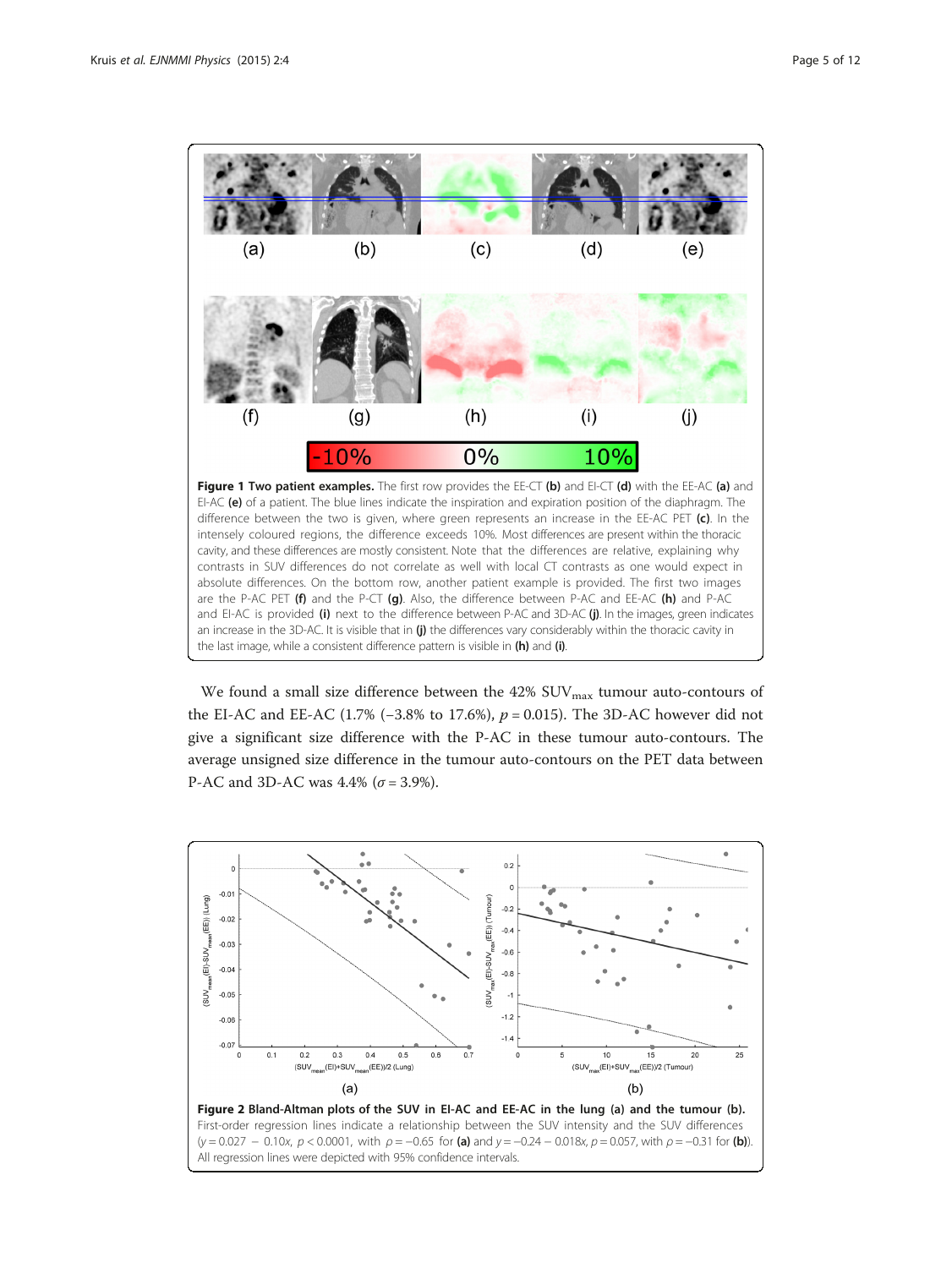<span id="page-4-0"></span>

We found a small size difference between the  $42\%$  SUV $_{\text{max}}$  tumour auto-contours of the EI-AC and EE-AC (1.7% (−3.8% to 17.6%),  $p = 0.015$ ). The 3D-AC however did not give a significant size difference with the P-AC in these tumour auto-contours. The average unsigned size difference in the tumour auto-contours on the PET data between P-AC and 3D-AC was 4.4% ( $\sigma$  = 3.9%).



First-order regression lines indicate a relationship between the SUV intensity and the SUV differences  $(y = 0.027 - 0.10x, p < 0.0001,$  with  $\rho = -0.65$  for (a) and  $y = -0.24 - 0.018x, p = 0.057$ , with  $\rho = -0.31$  for (b)). All regression lines were depicted with 95% confidence intervals.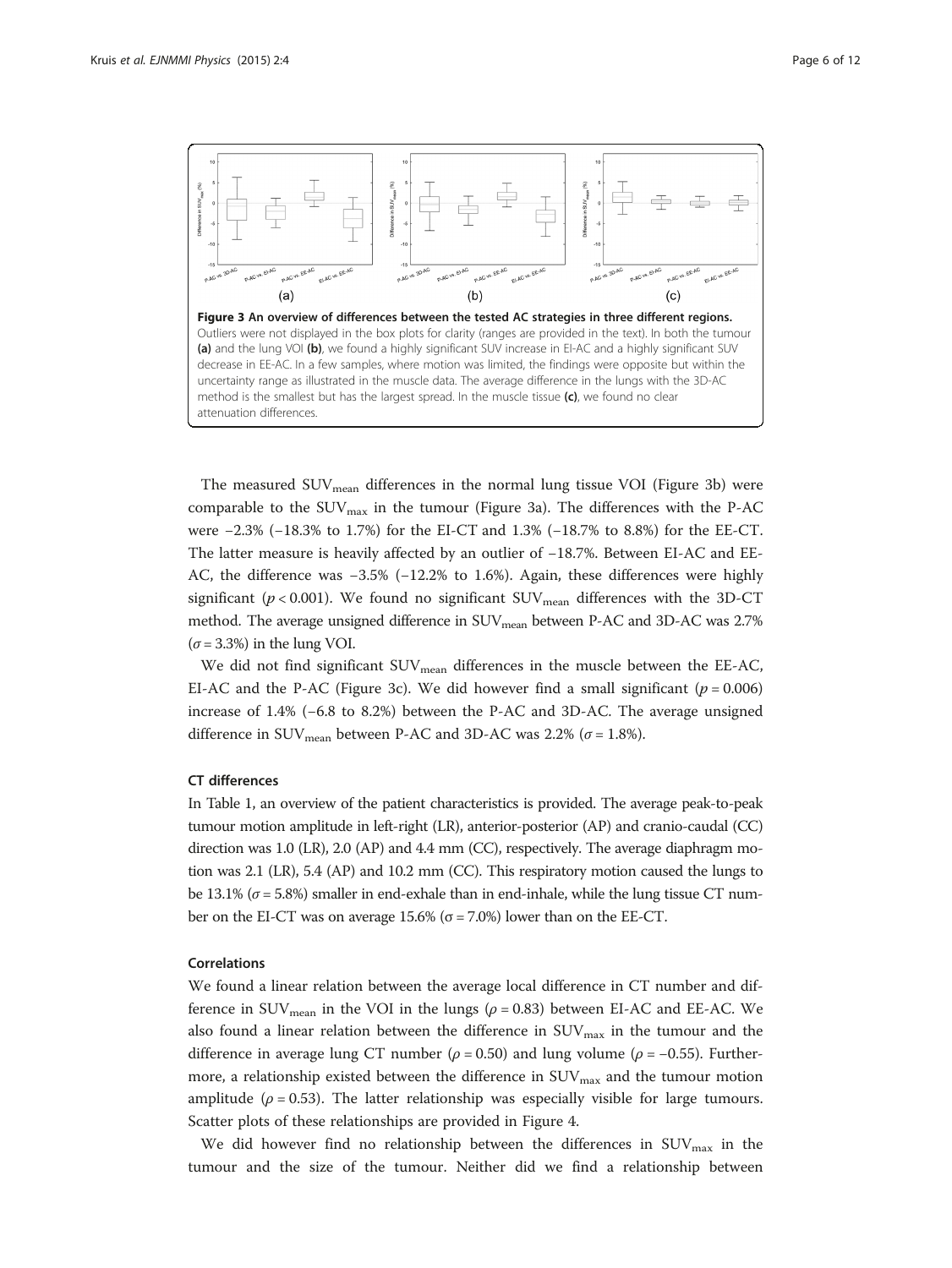<span id="page-5-0"></span>

The measured SUV<sub>mean</sub> differences in the normal lung tissue VOI (Figure 3b) were comparable to the  $\text{SUV}_{\text{max}}$  in the tumour (Figure 3a). The differences with the P-AC were −2.3% (−18.3% to 1.7%) for the EI-CT and 1.3% (−18.7% to 8.8%) for the EE-CT. The latter measure is heavily affected by an outlier of −18.7%. Between EI-AC and EE-AC, the difference was −3.5% (−12.2% to 1.6%). Again, these differences were highly significant ( $p < 0.001$ ). We found no significant  $\text{SUV}_{\text{mean}}$  differences with the 3D-CT method. The average unsigned difference in SUV<sub>mean</sub> between P-AC and 3D-AC was 2.7%  $(\sigma = 3.3\%)$  in the lung VOI.

We did not find significant  $\text{SUV}_{\text{mean}}$  differences in the muscle between the EE-AC, EI-AC and the P-AC (Figure 3c). We did however find a small significant ( $p = 0.006$ ) increase of 1.4% (−6.8 to 8.2%) between the P-AC and 3D-AC. The average unsigned difference in SUV<sub>mean</sub> between P-AC and 3D-AC was 2.2% ( $\sigma$  = 1.8%).

#### CT differences

In Table [1,](#page-6-0) an overview of the patient characteristics is provided. The average peak-to-peak tumour motion amplitude in left-right (LR), anterior-posterior (AP) and cranio-caudal (CC) direction was 1.0 (LR), 2.0 (AP) and 4.4 mm (CC), respectively. The average diaphragm motion was 2.1 (LR), 5.4 (AP) and 10.2 mm (CC). This respiratory motion caused the lungs to be 13.1% ( $\sigma$  = 5.8%) smaller in end-exhale than in end-inhale, while the lung tissue CT number on the EI-CT was on average 15.6% ( $\sigma$  = 7.0%) lower than on the EE-CT.

## Correlations

We found a linear relation between the average local difference in CT number and difference in SUV<sub>mean</sub> in the VOI in the lungs ( $\rho = 0.83$ ) between EI-AC and EE-AC. We also found a linear relation between the difference in  $\text{SUV}_\text{max}$  in the tumour and the difference in average lung CT number ( $\rho = 0.50$ ) and lung volume ( $\rho = -0.55$ ). Furthermore, a relationship existed between the difference in  $\text{SUV}_{\text{max}}$  and the tumour motion amplitude ( $\rho = 0.53$ ). The latter relationship was especially visible for large tumours. Scatter plots of these relationships are provided in Figure [4](#page-8-0).

We did however find no relationship between the differences in  $\text{SUV}_{\text{max}}$  in the tumour and the size of the tumour. Neither did we find a relationship between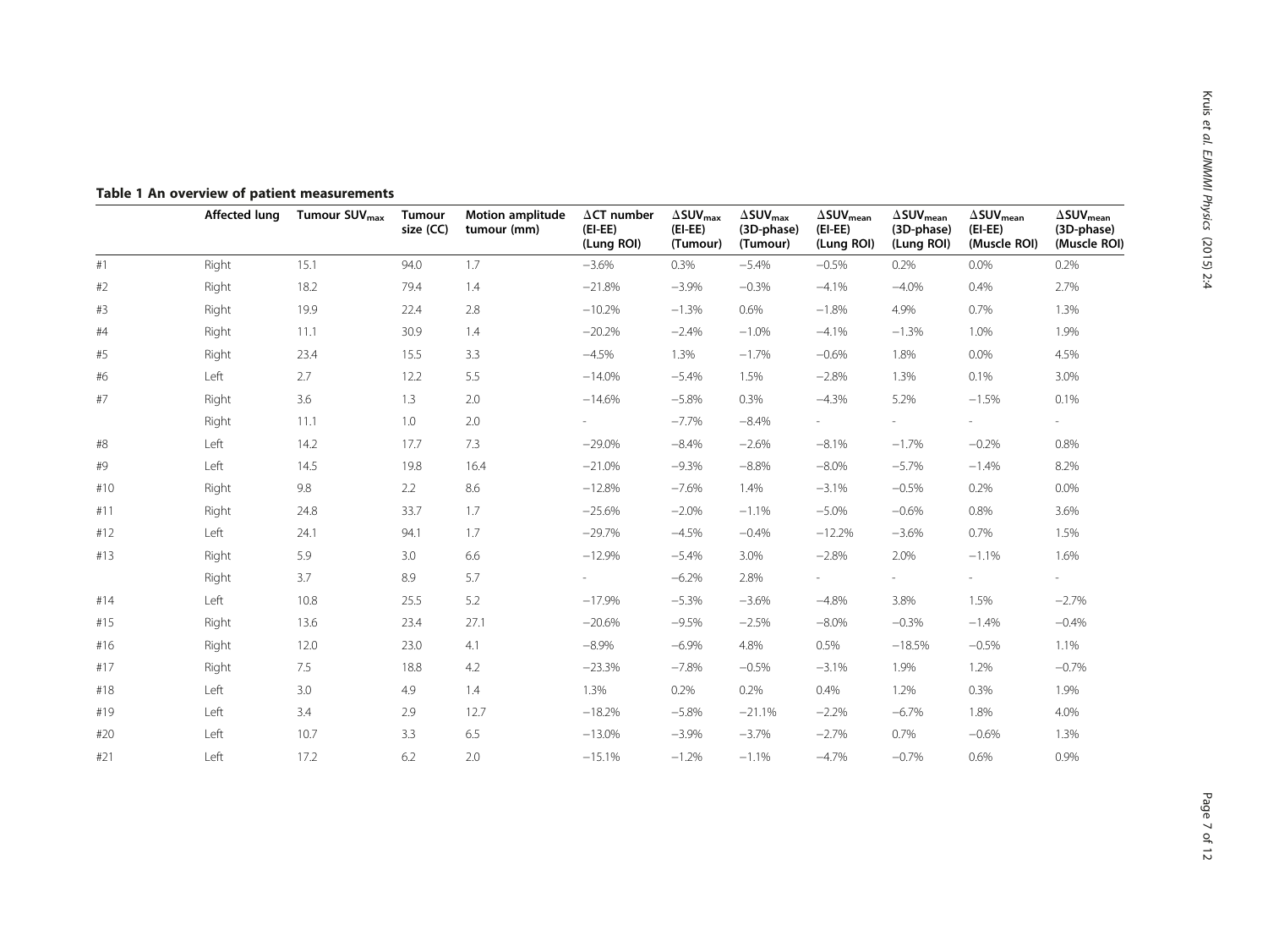|     | <b>Affected lung</b> | Tumour SUV <sub>max</sub> | Tumour<br>size (CC) | <b>Motion amplitude</b><br>tumour (mm) | $\Delta$ CT number<br>$(EI-EE)$<br>(Lung ROI) | $\Delta$ SUV $_{\text{max}}$<br>$(EI-EE)$<br>(Tumour) | $\Delta$ SUV $_{\rm max}$<br>(3D-phase)<br>(Tumour) | $\Delta \textsf{SUV}_{\textsf{mean}}$<br>$(EI-EE)$<br>(Lung ROI) | $\Delta \textsf{SUV}_{\textsf{mean}}$<br>(3D-phase)<br>(Lung ROI) | $\Delta \textsf{SUV}_{\textsf{mean}}$<br>$(EI-EE)$<br>(Muscle ROI) | $\Delta \textsf{SUV}_{\textsf{mean}}$<br>(3D-phase)<br>(Muscle ROI) |
|-----|----------------------|---------------------------|---------------------|----------------------------------------|-----------------------------------------------|-------------------------------------------------------|-----------------------------------------------------|------------------------------------------------------------------|-------------------------------------------------------------------|--------------------------------------------------------------------|---------------------------------------------------------------------|
| #1  | Right                | 15.1                      | 94.0                | 1.7                                    | $-3.6%$                                       | 0.3%                                                  | $-5.4%$                                             | $-0.5%$                                                          | 0.2%                                                              | 0.0%                                                               | 0.2%                                                                |
| #2  | Right                | 18.2                      | 79.4                | 1.4                                    | $-21.8%$                                      | $-3.9%$                                               | $-0.3%$                                             | $-4.1%$                                                          | $-4.0%$                                                           | 0.4%                                                               | 2.7%                                                                |
| #3  | Right                | 19.9                      | 22.4                | 2.8                                    | $-10.2%$                                      | $-1.3%$                                               | 0.6%                                                | $-1.8%$                                                          | 4.9%                                                              | 0.7%                                                               | 1.3%                                                                |
| #4  | Right                | 11.1                      | 30.9                | 1.4                                    | $-20.2%$                                      | $-2.4%$                                               | $-1.0%$                                             | $-4.1%$                                                          | $-1.3%$                                                           | 1.0%                                                               | 1.9%                                                                |
| #5  | Right                | 23.4                      | 15.5                | 3.3                                    | $-4.5%$                                       | 1.3%                                                  | $-1.7%$                                             | $-0.6%$                                                          | 1.8%                                                              | 0.0%                                                               | 4.5%                                                                |
| #6  | Left                 | 2.7                       | 12.2                | 5.5                                    | $-14.0%$                                      | $-5.4%$                                               | 1.5%                                                | $-2.8%$                                                          | 1.3%                                                              | 0.1%                                                               | 3.0%                                                                |
| #7  | Right                | 3.6                       | 1.3                 | 2.0                                    | $-14.6%$                                      | $-5.8%$                                               | 0.3%                                                | $-4.3%$                                                          | 5.2%                                                              | $-1.5%$                                                            | 0.1%                                                                |
|     | Right                | 11.1                      | 1.0                 | 2.0                                    |                                               | $-7.7%$                                               | $-8.4%$                                             |                                                                  |                                                                   |                                                                    |                                                                     |
| #8  | Left                 | 14.2                      | 17.7                | 7.3                                    | $-29.0%$                                      | $-8.4%$                                               | $-2.6%$                                             | $-8.1%$                                                          | $-1.7%$                                                           | $-0.2%$                                                            | 0.8%                                                                |
| #9  | Left                 | 14.5                      | 19.8                | 16.4                                   | $-21.0%$                                      | $-9.3%$                                               | $-8.8%$                                             | $-8.0%$                                                          | $-5.7%$                                                           | $-1.4%$                                                            | 8.2%                                                                |
| #10 | Right                | 9.8                       | 2.2                 | 8.6                                    | $-12.8%$                                      | $-7.6%$                                               | 1.4%                                                | $-3.1%$                                                          | $-0.5%$                                                           | 0.2%                                                               | 0.0%                                                                |
| #11 | Right                | 24.8                      | 33.7                | 1.7                                    | $-25.6%$                                      | $-2.0%$                                               | $-1.1%$                                             | $-5.0%$                                                          | $-0.6%$                                                           | 0.8%                                                               | 3.6%                                                                |
| #12 | Left                 | 24.1                      | 94.1                | 1.7                                    | $-29.7%$                                      | $-4.5%$                                               | $-0.4%$                                             | $-12.2%$                                                         | $-3.6%$                                                           | 0.7%                                                               | 1.5%                                                                |
| #13 | Right                | 5.9                       | 3.0                 | 6.6                                    | $-12.9%$                                      | $-5.4%$                                               | 3.0%                                                | $-2.8%$                                                          | 2.0%                                                              | $-1.1%$                                                            | 1.6%                                                                |
|     | Right                | 3.7                       | 8.9                 | 5.7                                    |                                               | $-6.2%$                                               | 2.8%                                                |                                                                  |                                                                   |                                                                    |                                                                     |
| #14 | Left                 | 10.8                      | 25.5                | 5.2                                    | $-17.9%$                                      | $-5.3%$                                               | $-3.6%$                                             | $-4.8%$                                                          | 3.8%                                                              | 1.5%                                                               | $-2.7%$                                                             |
| #15 | Right                | 13.6                      | 23.4                | 27.1                                   | $-20.6%$                                      | $-9.5%$                                               | $-2.5%$                                             | $-8.0%$                                                          | $-0.3%$                                                           | $-1.4%$                                                            | $-0.4%$                                                             |
| #16 | Right                | 12.0                      | 23.0                | 4.1                                    | $-8.9\%$                                      | $-6.9%$                                               | 4.8%                                                | 0.5%                                                             | $-18.5%$                                                          | $-0.5%$                                                            | 1.1%                                                                |
| #17 | Right                | 7.5                       | 18.8                | 4.2                                    | $-23.3%$                                      | $-7.8%$                                               | $-0.5%$                                             | $-3.1%$                                                          | 1.9%                                                              | 1.2%                                                               | $-0.7%$                                                             |
| #18 | Left                 | 3.0                       | 4.9                 | 1.4                                    | 1.3%                                          | 0.2%                                                  | 0.2%                                                | 0.4%                                                             | 1.2%                                                              | 0.3%                                                               | 1.9%                                                                |
| #19 | Left                 | 3.4                       | 2.9                 | 12.7                                   | $-18.2%$                                      | $-5.8%$                                               | $-21.1%$                                            | $-2.2%$                                                          | $-6.7%$                                                           | 1.8%                                                               | 4.0%                                                                |
| #20 | Left                 | 10.7                      | 3.3                 | 6.5                                    | $-13.0%$                                      | $-3.9%$                                               | $-3.7%$                                             | $-2.7%$                                                          | 0.7%                                                              | $-0.6%$                                                            | 1.3%                                                                |
| #21 | Left                 | 17.2                      | 6.2                 | 2.0                                    | $-15.1%$                                      | $-1.2%$                                               | $-1.1%$                                             | $-4.7%$                                                          | $-0.7%$                                                           | 0.6%                                                               | 0.9%                                                                |

<span id="page-6-0"></span>Table 1 An overview of patient measurements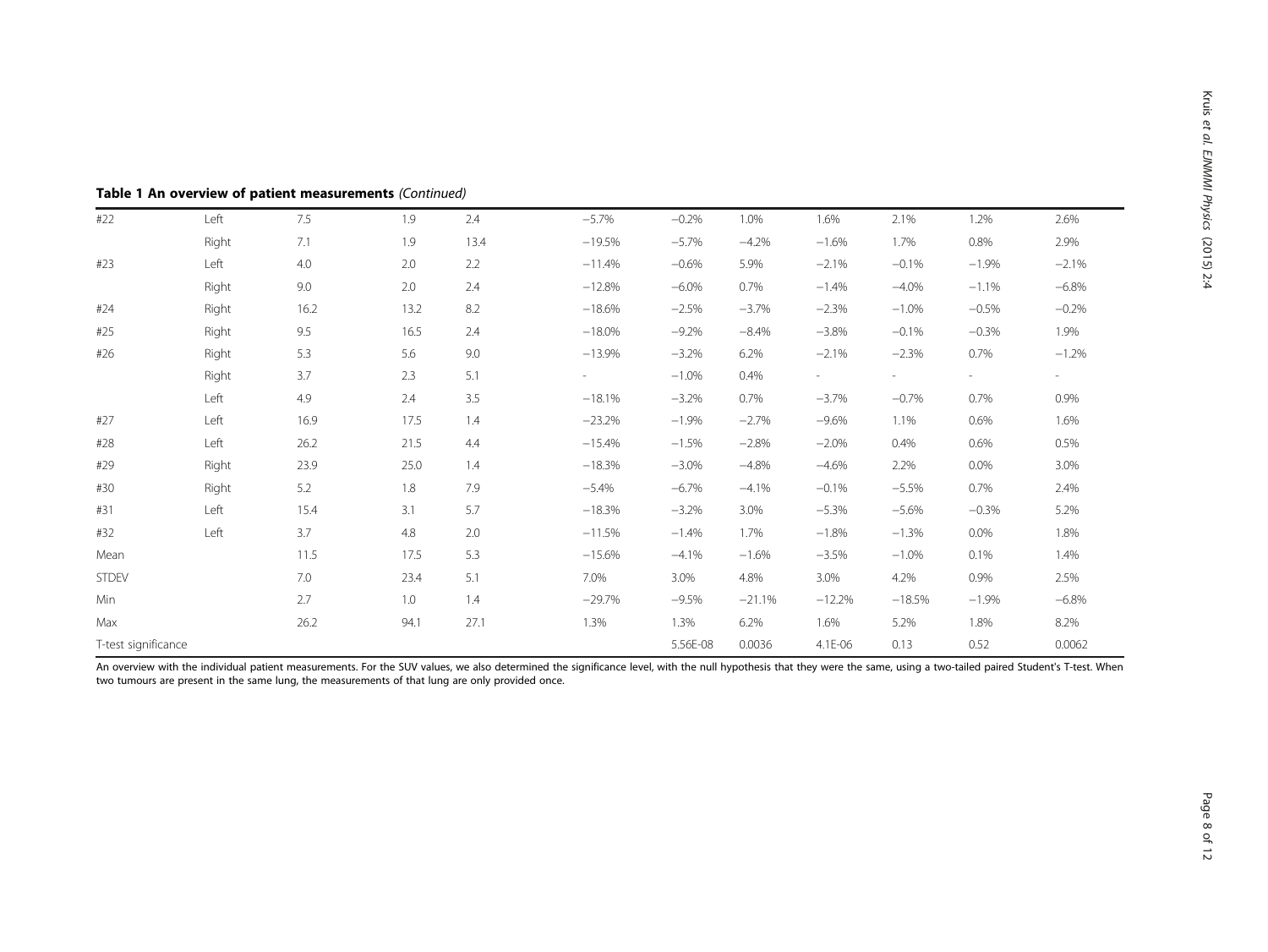| #22                 | Left  | 7.5  | 1.9  | 2.4  | $-5.7%$  | $-0.2%$  | 1.0%     | 1.6%     | 2.1%     | 1.2%    | 2.6%    |
|---------------------|-------|------|------|------|----------|----------|----------|----------|----------|---------|---------|
|                     | Right | 7.1  | 1.9  | 13.4 | $-19.5%$ | $-5.7\%$ | $-4.2%$  | $-1.6%$  | 1.7%     | 0.8%    | 2.9%    |
| #23                 | Left  | 4.0  | 2.0  | 2.2  | $-11.4%$ | $-0.6%$  | 5.9%     | $-2.1%$  | $-0.1%$  | $-1.9%$ | $-2.1%$ |
|                     | Right | 9.0  | 2.0  | 2.4  | $-12.8%$ | $-6.0\%$ | 0.7%     | $-1.4%$  | $-4.0%$  | $-1.1%$ | $-6.8%$ |
| #24                 | Right | 16.2 | 13.2 | 8.2  | $-18.6%$ | $-2.5%$  | $-3.7%$  | $-2.3%$  | $-1.0%$  | $-0.5%$ | $-0.2%$ |
| #25                 | Right | 9.5  | 16.5 | 2.4  | $-18.0%$ | $-9.2%$  | $-8.4%$  | $-3.8%$  | $-0.1%$  | $-0.3%$ | 1.9%    |
| #26                 | Right | 5.3  | 5.6  | 9.0  | $-13.9%$ | $-3.2%$  | 6.2%     | $-2.1%$  | $-2.3%$  | 0.7%    | $-1.2%$ |
|                     | Right | 3.7  | 2.3  | 5.1  |          | $-1.0%$  | 0.4%     |          | -        | $\sim$  | $\sim$  |
|                     | Left  | 4.9  | 2.4  | 3.5  | $-18.1%$ | $-3.2%$  | 0.7%     | $-3.7%$  | $-0.7%$  | 0.7%    | 0.9%    |
| #27                 | Left  | 16.9 | 17.5 | 1.4  | $-23.2%$ | $-1.9%$  | $-2.7%$  | $-9.6%$  | 1.1%     | 0.6%    | 1.6%    |
| #28                 | Left  | 26.2 | 21.5 | 4.4  | $-15.4%$ | $-1.5%$  | $-2.8%$  | $-2.0%$  | 0.4%     | 0.6%    | 0.5%    |
| #29                 | Right | 23.9 | 25.0 | 1.4  | $-18.3%$ | $-3.0\%$ | $-4.8%$  | $-4.6%$  | 2.2%     | 0.0%    | 3.0%    |
| #30                 | Right | 5.2  | 1.8  | 7.9  | $-5.4%$  | $-6.7\%$ | $-4.1%$  | $-0.1%$  | $-5.5%$  | 0.7%    | 2.4%    |
| #31                 | Left  | 15.4 | 3.1  | 5.7  | $-18.3%$ | $-3.2%$  | 3.0%     | $-5.3%$  | $-5.6%$  | $-0.3%$ | 5.2%    |
| #32                 | Left  | 3.7  | 4.8  | 2.0  | $-11.5%$ | $-1.4%$  | 1.7%     | $-1.8%$  | $-1.3%$  | 0.0%    | 1.8%    |
| Mean                |       | 11.5 | 17.5 | 5.3  | $-15.6%$ | $-4.1%$  | $-1.6%$  | $-3.5%$  | $-1.0%$  | 0.1%    | 1.4%    |
| <b>STDEV</b>        |       | 7.0  | 23.4 | 5.1  | 7.0%     | 3.0%     | 4.8%     | 3.0%     | 4.2%     | 0.9%    | 2.5%    |
| Min                 |       | 2.7  | 1.0  | 1.4  | $-29.7%$ | $-9.5%$  | $-21.1%$ | $-12.2%$ | $-18.5%$ | $-1.9%$ | $-6.8%$ |
| Max                 |       | 26.2 | 94.1 | 27.1 | 1.3%     | 1.3%     | 6.2%     | 1.6%     | 5.2%     | 1.8%    | 8.2%    |
| T-test significance |       |      |      |      | 5.56E-08 | 0.0036   | 4.1E-06  | 0.13     | 0.52     | 0.0062  |         |

Table 1 An overview of patient measurements (Continued)

An overview with the individual patient measurements. For the SUV values, we also determined the significance level, with the null hypothesis that they were the same, using a two-tailed paired Student's T-test. When two tumours are present in the same lung, the measurements of that lung are only provided once.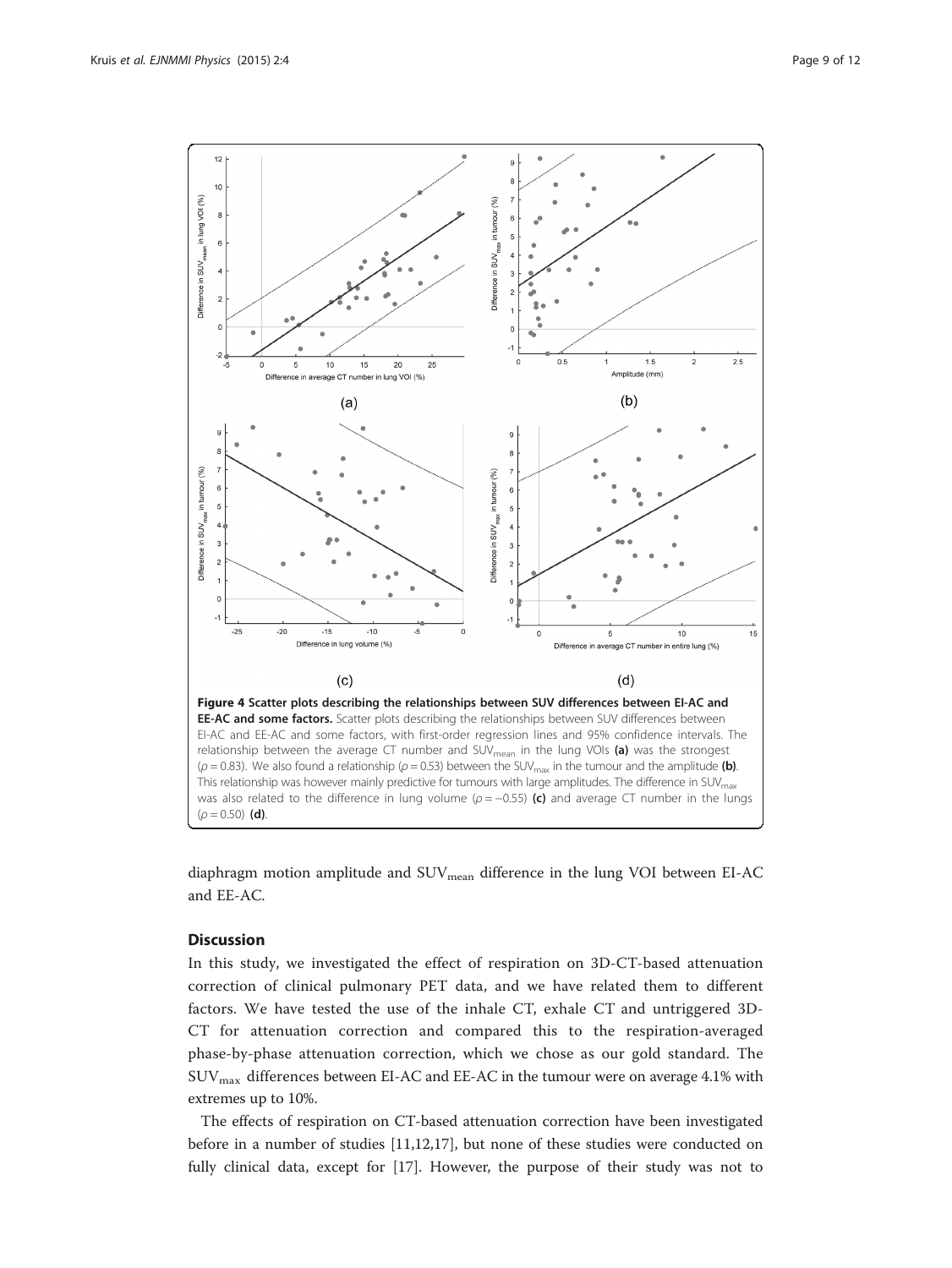<span id="page-8-0"></span>

diaphragm motion amplitude and SUV<sub>mean</sub> difference in the lung VOI between EI-AC and EE-AC.

### **Discussion**

In this study, we investigated the effect of respiration on 3D-CT-based attenuation correction of clinical pulmonary PET data, and we have related them to different factors. We have tested the use of the inhale CT, exhale CT and untriggered 3D-CT for attenuation correction and compared this to the respiration-averaged phase-by-phase attenuation correction, which we chose as our gold standard. The  $\rm{SUV_{max}}$  differences between EI-AC and EE-AC in the tumour were on average 4.1% with extremes up to 10%.

The effects of respiration on CT-based attenuation correction have been investigated before in a number of studies [\[11,12,17](#page-11-0)], but none of these studies were conducted on fully clinical data, except for [\[17\]](#page-11-0). However, the purpose of their study was not to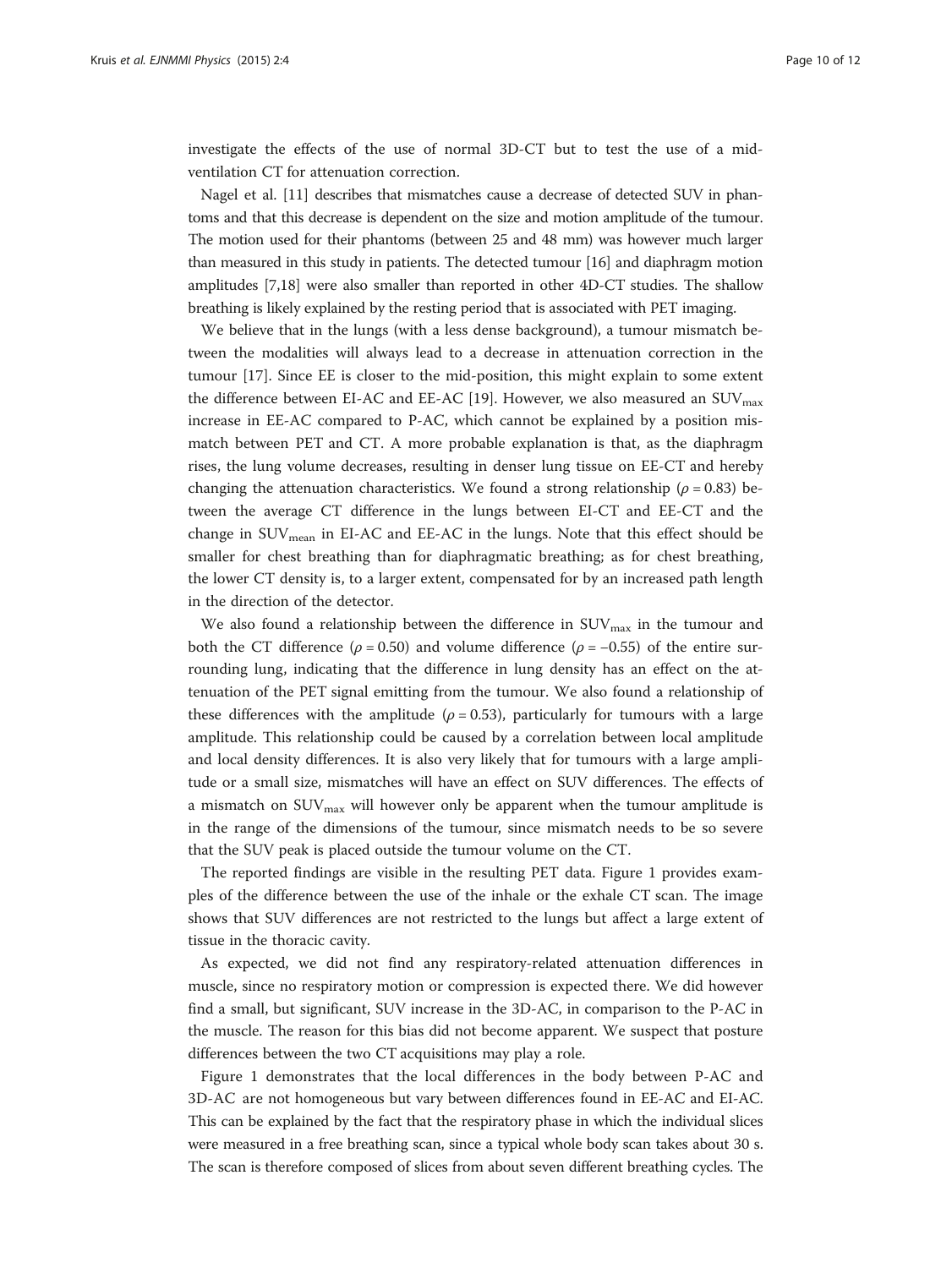investigate the effects of the use of normal 3D-CT but to test the use of a midventilation CT for attenuation correction.

Nagel et al. [\[11](#page-11-0)] describes that mismatches cause a decrease of detected SUV in phantoms and that this decrease is dependent on the size and motion amplitude of the tumour. The motion used for their phantoms (between 25 and 48 mm) was however much larger than measured in this study in patients. The detected tumour [[16](#page-11-0)] and diaphragm motion amplitudes [\[7,18\]](#page-11-0) were also smaller than reported in other 4D-CT studies. The shallow breathing is likely explained by the resting period that is associated with PET imaging.

We believe that in the lungs (with a less dense background), a tumour mismatch between the modalities will always lead to a decrease in attenuation correction in the tumour [\[17\]](#page-11-0). Since EE is closer to the mid-position, this might explain to some extent the difference between EI-AC and EE-AC [\[19](#page-11-0)]. However, we also measured an  $\text{SUV}_{\text{max}}$ increase in EE-AC compared to P-AC, which cannot be explained by a position mismatch between PET and CT. A more probable explanation is that, as the diaphragm rises, the lung volume decreases, resulting in denser lung tissue on EE-CT and hereby changing the attenuation characteristics. We found a strong relationship ( $\rho = 0.83$ ) between the average CT difference in the lungs between EI-CT and EE-CT and the change in  $\text{SUV}_{\text{mean}}$  in EI-AC and EE-AC in the lungs. Note that this effect should be smaller for chest breathing than for diaphragmatic breathing; as for chest breathing, the lower CT density is, to a larger extent, compensated for by an increased path length in the direction of the detector.

We also found a relationship between the difference in  $\text{SUV}_{\text{max}}$  in the tumour and both the CT difference ( $\rho = 0.50$ ) and volume difference ( $\rho = -0.55$ ) of the entire surrounding lung, indicating that the difference in lung density has an effect on the attenuation of the PET signal emitting from the tumour. We also found a relationship of these differences with the amplitude ( $\rho = 0.53$ ), particularly for tumours with a large amplitude. This relationship could be caused by a correlation between local amplitude and local density differences. It is also very likely that for tumours with a large amplitude or a small size, mismatches will have an effect on SUV differences. The effects of a mismatch on  $\text{SUV}_{\text{max}}$  will however only be apparent when the tumour amplitude is in the range of the dimensions of the tumour, since mismatch needs to be so severe that the SUV peak is placed outside the tumour volume on the CT.

The reported findings are visible in the resulting PET data. Figure [1](#page-4-0) provides examples of the difference between the use of the inhale or the exhale CT scan. The image shows that SUV differences are not restricted to the lungs but affect a large extent of tissue in the thoracic cavity.

As expected, we did not find any respiratory-related attenuation differences in muscle, since no respiratory motion or compression is expected there. We did however find a small, but significant, SUV increase in the 3D-AC, in comparison to the P-AC in the muscle. The reason for this bias did not become apparent. We suspect that posture differences between the two CT acquisitions may play a role.

Figure [1](#page-4-0) demonstrates that the local differences in the body between P-AC and 3D-AC are not homogeneous but vary between differences found in EE-AC and EI-AC. This can be explained by the fact that the respiratory phase in which the individual slices were measured in a free breathing scan, since a typical whole body scan takes about 30 s. The scan is therefore composed of slices from about seven different breathing cycles. The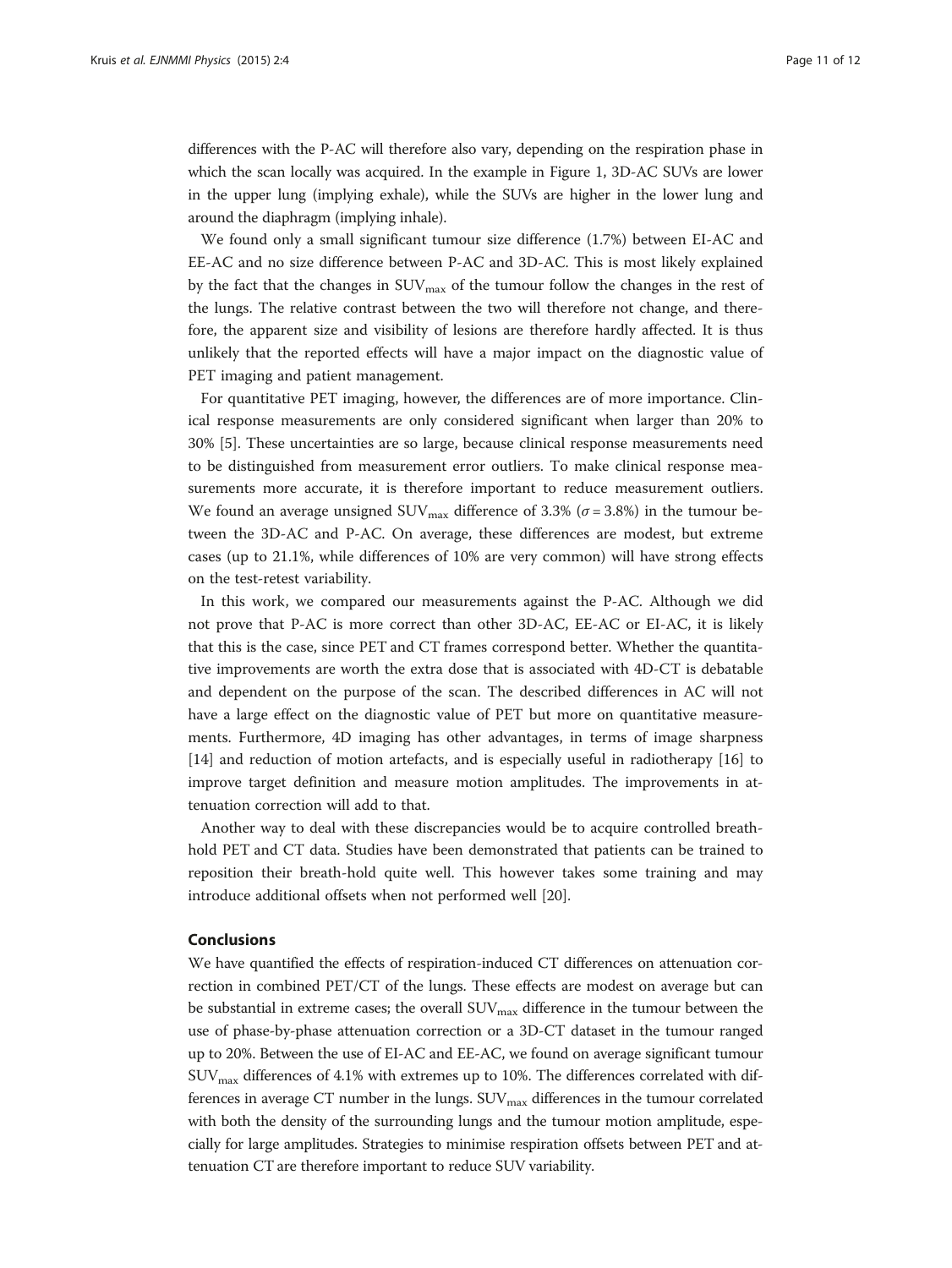differences with the P-AC will therefore also vary, depending on the respiration phase in which the scan locally was acquired. In the example in Figure [1](#page-4-0), 3D-AC SUVs are lower in the upper lung (implying exhale), while the SUVs are higher in the lower lung and around the diaphragm (implying inhale).

We found only a small significant tumour size difference (1.7%) between EI-AC and EE-AC and no size difference between P-AC and 3D-AC. This is most likely explained by the fact that the changes in  $\text{SUV}_{\text{max}}$  of the tumour follow the changes in the rest of the lungs. The relative contrast between the two will therefore not change, and therefore, the apparent size and visibility of lesions are therefore hardly affected. It is thus unlikely that the reported effects will have a major impact on the diagnostic value of PET imaging and patient management.

For quantitative PET imaging, however, the differences are of more importance. Clinical response measurements are only considered significant when larger than 20% to 30% [[5](#page-11-0)]. These uncertainties are so large, because clinical response measurements need to be distinguished from measurement error outliers. To make clinical response measurements more accurate, it is therefore important to reduce measurement outliers. We found an average unsigned  $\text{SUV}_{\text{max}}$  difference of 3.3% ( $\sigma$  = 3.8%) in the tumour between the 3D-AC and P-AC. On average, these differences are modest, but extreme cases (up to 21.1%, while differences of 10% are very common) will have strong effects on the test-retest variability.

In this work, we compared our measurements against the P-AC. Although we did not prove that P-AC is more correct than other 3D-AC, EE-AC or EI-AC, it is likely that this is the case, since PET and CT frames correspond better. Whether the quantitative improvements are worth the extra dose that is associated with 4D-CT is debatable and dependent on the purpose of the scan. The described differences in AC will not have a large effect on the diagnostic value of PET but more on quantitative measurements. Furthermore, 4D imaging has other advantages, in terms of image sharpness [[14\]](#page-11-0) and reduction of motion artefacts, and is especially useful in radiotherapy [[16\]](#page-11-0) to improve target definition and measure motion amplitudes. The improvements in attenuation correction will add to that.

Another way to deal with these discrepancies would be to acquire controlled breathhold PET and CT data. Studies have been demonstrated that patients can be trained to reposition their breath-hold quite well. This however takes some training and may introduce additional offsets when not performed well [\[20\]](#page-11-0).

#### Conclusions

We have quantified the effects of respiration-induced CT differences on attenuation correction in combined PET/CT of the lungs. These effects are modest on average but can be substantial in extreme cases; the overall  $\text{SUV}_{\text{max}}$  difference in the tumour between the use of phase-by-phase attenuation correction or a 3D-CT dataset in the tumour ranged up to 20%. Between the use of EI-AC and EE-AC, we found on average significant tumour  $\text{SUV}_{\text{max}}$  differences of 4.1% with extremes up to 10%. The differences correlated with differences in average CT number in the lungs.  $\text{SUV}_{\text{max}}$  differences in the tumour correlated with both the density of the surrounding lungs and the tumour motion amplitude, especially for large amplitudes. Strategies to minimise respiration offsets between PET and attenuation CT are therefore important to reduce SUV variability.